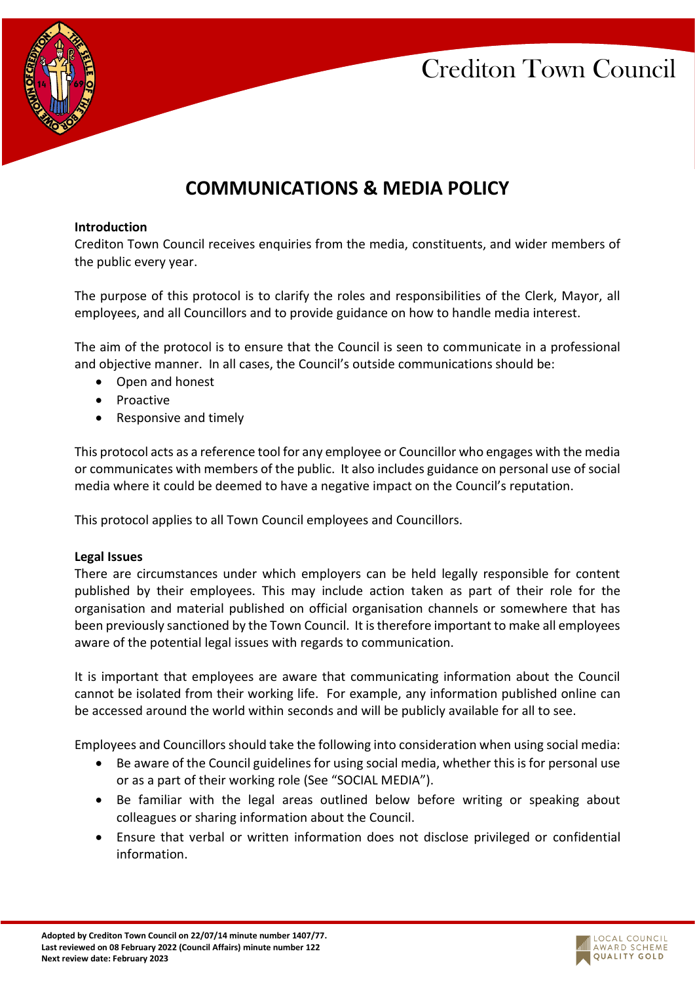

# **COMMUNICATIONS & MEDIA POLICY**

#### **Introduction**

Crediton Town Council receives enquiries from the media, constituents, and wider members of the public every year.

The purpose of this protocol is to clarify the roles and responsibilities of the Clerk, Mayor, all employees, and all Councillors and to provide guidance on how to handle media interest.

The aim of the protocol is to ensure that the Council is seen to communicate in a professional and objective manner. In all cases, the Council's outside communications should be:

- Open and honest
- Proactive
- Responsive and timely

This protocol acts as a reference tool for any employee or Councillor who engages with the media or communicates with members of the public. It also includes guidance on personal use of social media where it could be deemed to have a negative impact on the Council's reputation.

This protocol applies to all Town Council employees and Councillors.

#### **Legal Issues**

There are circumstances under which employers can be held legally responsible for content published by their employees. This may include action taken as part of their role for the organisation and material published on official organisation channels or somewhere that has been previously sanctioned by the Town Council. It is therefore important to make all employees aware of the potential legal issues with regards to communication.

It is important that employees are aware that communicating information about the Council cannot be isolated from their working life. For example, any information published online can be accessed around the world within seconds and will be publicly available for all to see.

Employees and Councillors should take the following into consideration when using social media:

- Be aware of the Council guidelines for using social media, whether this is for personal use or as a part of their working role (See "SOCIAL MEDIA").
- Be familiar with the legal areas outlined below before writing or speaking about colleagues or sharing information about the Council.
- Ensure that verbal or written information does not disclose privileged or confidential information.

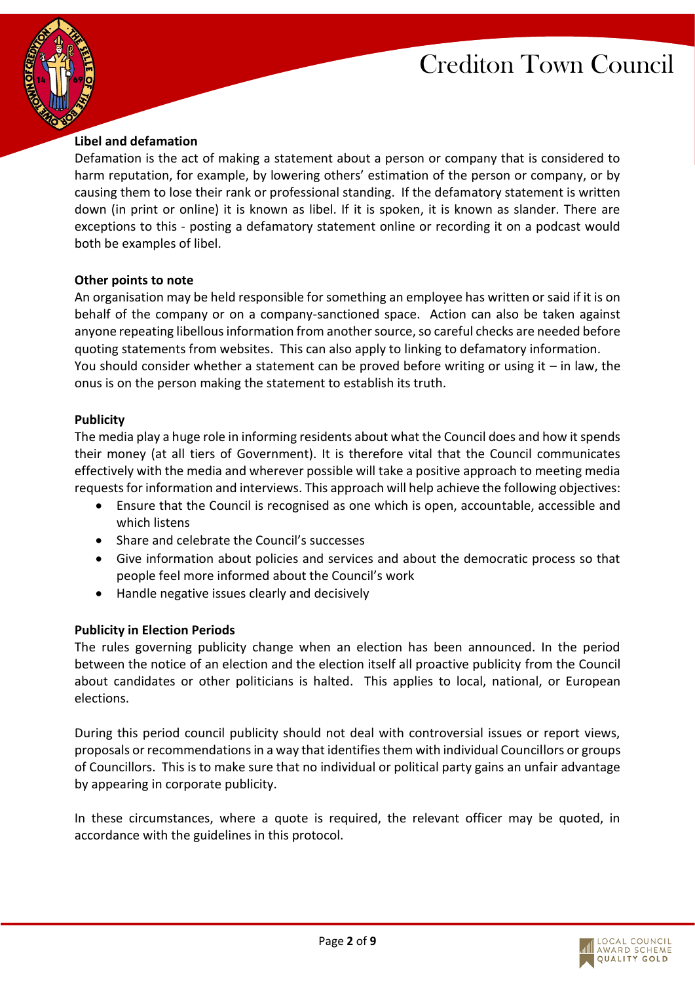



# **Libel and defamation**

Defamation is the act of making a statement about a person or company that is considered to harm reputation, for example, by lowering others' estimation of the person or company, or by causing them to lose their rank or professional standing. If the defamatory statement is written down (in print or online) it is known as libel. If it is spoken, it is known as slander. There are exceptions to this - posting a defamatory statement online or recording it on a podcast would both be examples of libel.

#### **Other points to note**

An organisation may be held responsible for something an employee has written or said if it is on behalf of the company or on a company-sanctioned space. Action can also be taken against anyone repeating libellous information from another source, so careful checks are needed before quoting statements from websites. This can also apply to linking to defamatory information. You should consider whether a statement can be proved before writing or using it – in law, the onus is on the person making the statement to establish its truth.

#### **Publicity**

The media play a huge role in informing residents about what the Council does and how it spends their money (at all tiers of Government). It is therefore vital that the Council communicates effectively with the media and wherever possible will take a positive approach to meeting media requests for information and interviews. This approach will help achieve the following objectives:

- Ensure that the Council is recognised as one which is open, accountable, accessible and which listens
- Share and celebrate the Council's successes
- Give information about policies and services and about the democratic process so that people feel more informed about the Council's work
- Handle negative issues clearly and decisively

## **Publicity in Election Periods**

The rules governing publicity change when an election has been announced. In the period between the notice of an election and the election itself all proactive publicity from the Council about candidates or other politicians is halted. This applies to local, national, or European elections.

During this period council publicity should not deal with controversial issues or report views, proposals or recommendations in a way that identifies them with individual Councillors or groups of Councillors. This is to make sure that no individual or political party gains an unfair advantage by appearing in corporate publicity.

In these circumstances, where a quote is required, the relevant officer may be quoted, in accordance with the guidelines in this protocol.

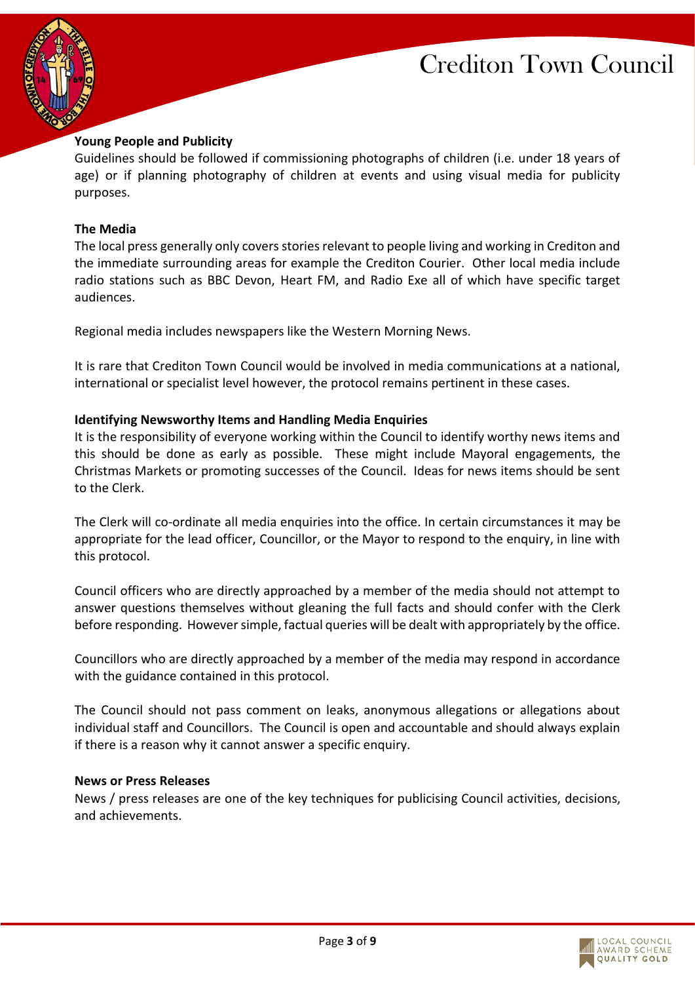



#### **Young People and Publicity**

Guidelines should be followed if commissioning photographs of children (i.e. under 18 years of age) or if planning photography of children at events and using visual media for publicity purposes.

#### **The Media**

The local press generally only covers stories relevant to people living and working in Crediton and the immediate surrounding areas for example the Crediton Courier. Other local media include radio stations such as BBC Devon, Heart FM, and Radio Exe all of which have specific target audiences.

Regional media includes newspapers like the Western Morning News.

It is rare that Crediton Town Council would be involved in media communications at a national, international or specialist level however, the protocol remains pertinent in these cases.

#### **Identifying Newsworthy Items and Handling Media Enquiries**

It is the responsibility of everyone working within the Council to identify worthy news items and this should be done as early as possible. These might include Mayoral engagements, the Christmas Markets or promoting successes of the Council. Ideas for news items should be sent to the Clerk.

The Clerk will co-ordinate all media enquiries into the office. In certain circumstances it may be appropriate for the lead officer, Councillor, or the Mayor to respond to the enquiry, in line with this protocol.

Council officers who are directly approached by a member of the media should not attempt to answer questions themselves without gleaning the full facts and should confer with the Clerk before responding. However simple, factual queries will be dealt with appropriately by the office.

Councillors who are directly approached by a member of the media may respond in accordance with the guidance contained in this protocol.

The Council should not pass comment on leaks, anonymous allegations or allegations about individual staff and Councillors. The Council is open and accountable and should always explain if there is a reason why it cannot answer a specific enquiry.

#### **News or Press Releases**

News / press releases are one of the key techniques for publicising Council activities, decisions, and achievements.

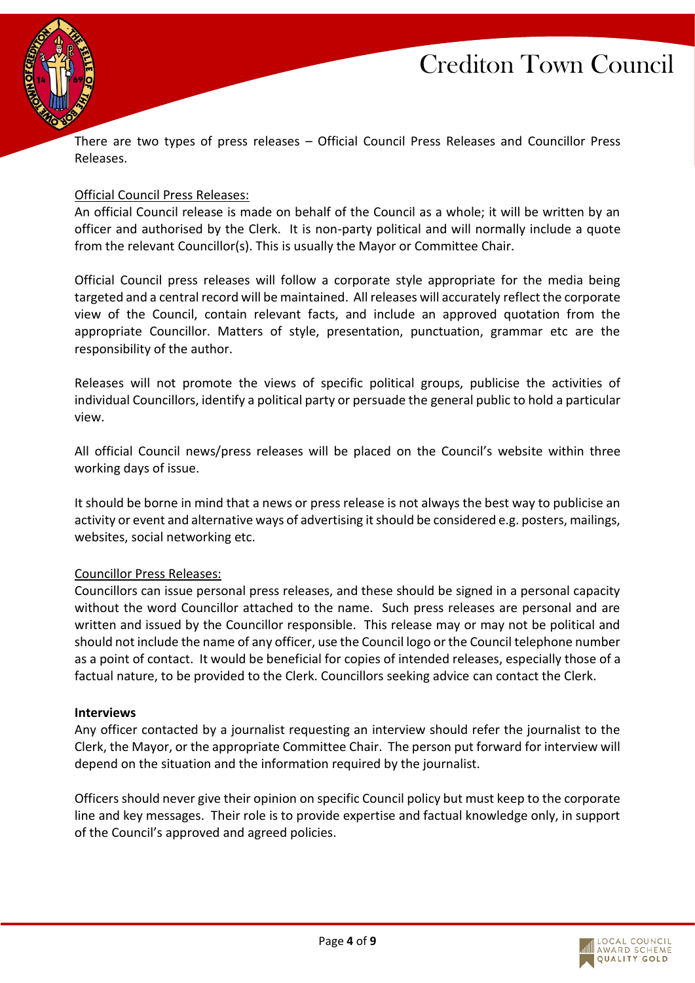



There are two types of press releases – Official Council Press Releases and Councillor Press Releases.

#### Official Council Press Releases:

An official Council release is made on behalf of the Council as a whole; it will be written by an officer and authorised by the Clerk. It is non-party political and will normally include a quote from the relevant Councillor(s). This is usually the Mayor or Committee Chair.

Official Council press releases will follow a corporate style appropriate for the media being targeted and a central record will be maintained. All releases will accurately reflect the corporate view of the Council, contain relevant facts, and include an approved quotation from the appropriate Councillor. Matters of style, presentation, punctuation, grammar etc are the responsibility of the author.

Releases will not promote the views of specific political groups, publicise the activities of individual Councillors, identify a political party or persuade the general public to hold a particular view.

All official Council news/press releases will be placed on the Council's website within three working days of issue.

It should be borne in mind that a news or press release is not always the best way to publicise an activity or event and alternative ways of advertising it should be considered e.g. posters, mailings, websites, social networking etc.

#### Councillor Press Releases:

Councillors can issue personal press releases, and these should be signed in a personal capacity without the word Councillor attached to the name. Such press releases are personal and are written and issued by the Councillor responsible. This release may or may not be political and should not include the name of any officer, use the Council logo or the Council telephone number as a point of contact. It would be beneficial for copies of intended releases, especially those of a factual nature, to be provided to the Clerk. Councillors seeking advice can contact the Clerk.

#### **Interviews**

Any officer contacted by a journalist requesting an interview should refer the journalist to the Clerk, the Mayor, or the appropriate Committee Chair. The person put forward for interview will depend on the situation and the information required by the journalist.

Officers should never give their opinion on specific Council policy but must keep to the corporate line and key messages. Their role is to provide expertise and factual knowledge only, in support of the Council's approved and agreed policies.

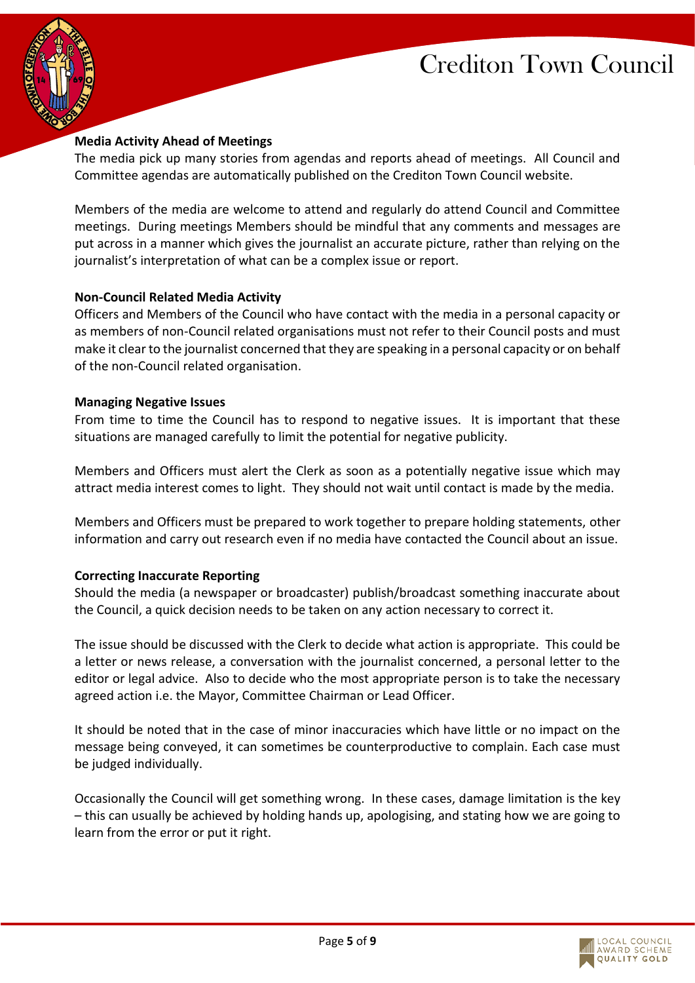



## **Media Activity Ahead of Meetings**

The media pick up many stories from agendas and reports ahead of meetings. All Council and Committee agendas are automatically published on the Crediton Town Council website.

Members of the media are welcome to attend and regularly do attend Council and Committee meetings. During meetings Members should be mindful that any comments and messages are put across in a manner which gives the journalist an accurate picture, rather than relying on the journalist's interpretation of what can be a complex issue or report.

#### **Non-Council Related Media Activity**

Officers and Members of the Council who have contact with the media in a personal capacity or as members of non-Council related organisations must not refer to their Council posts and must make it clear to the journalist concerned that they are speaking in a personal capacity or on behalf of the non-Council related organisation.

#### **Managing Negative Issues**

From time to time the Council has to respond to negative issues. It is important that these situations are managed carefully to limit the potential for negative publicity.

Members and Officers must alert the Clerk as soon as a potentially negative issue which may attract media interest comes to light. They should not wait until contact is made by the media.

Members and Officers must be prepared to work together to prepare holding statements, other information and carry out research even if no media have contacted the Council about an issue.

## **Correcting Inaccurate Reporting**

Should the media (a newspaper or broadcaster) publish/broadcast something inaccurate about the Council, a quick decision needs to be taken on any action necessary to correct it.

The issue should be discussed with the Clerk to decide what action is appropriate. This could be a letter or news release, a conversation with the journalist concerned, a personal letter to the editor or legal advice. Also to decide who the most appropriate person is to take the necessary agreed action i.e. the Mayor, Committee Chairman or Lead Officer.

It should be noted that in the case of minor inaccuracies which have little or no impact on the message being conveyed, it can sometimes be counterproductive to complain. Each case must be judged individually.

Occasionally the Council will get something wrong. In these cases, damage limitation is the key – this can usually be achieved by holding hands up, apologising, and stating how we are going to learn from the error or put it right.

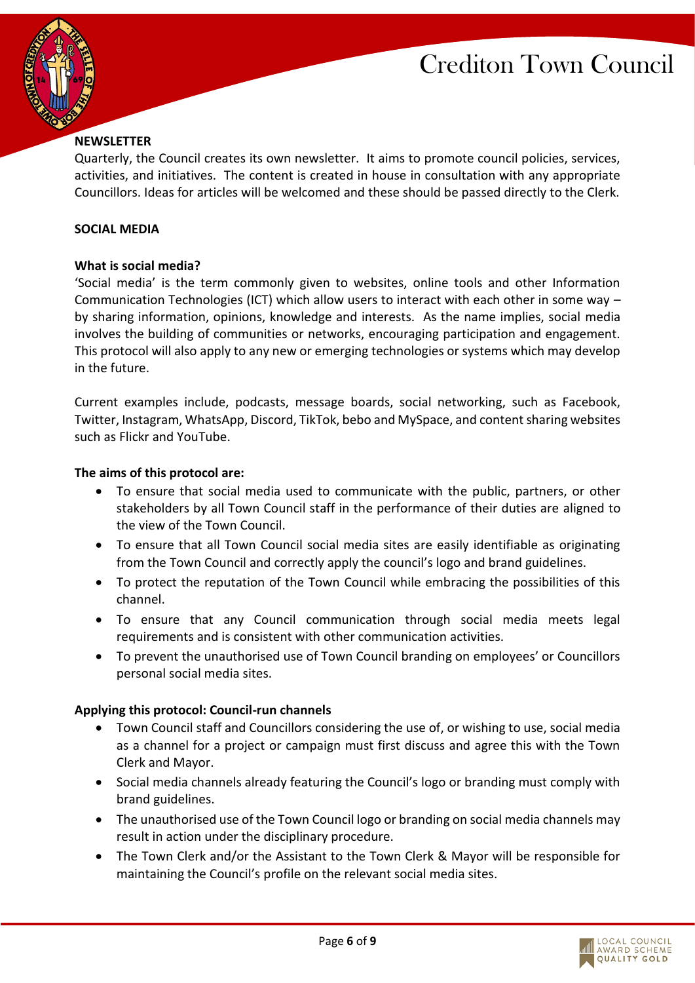



## **NEWSLETTER**

Quarterly, the Council creates its own newsletter. It aims to promote council policies, services, activities, and initiatives. The content is created in house in consultation with any appropriate Councillors. Ideas for articles will be welcomed and these should be passed directly to the Clerk.

#### **SOCIAL MEDIA**

#### **What is social media?**

'Social media' is the term commonly given to websites, online tools and other Information Communication Technologies (ICT) which allow users to interact with each other in some way – by sharing information, opinions, knowledge and interests. As the name implies, social media involves the building of communities or networks, encouraging participation and engagement. This protocol will also apply to any new or emerging technologies or systems which may develop in the future.

Current examples include, podcasts, message boards, social networking, such as Facebook, Twitter, Instagram, WhatsApp, Discord, TikTok, bebo and MySpace, and content sharing websites such as Flickr and YouTube.

#### **The aims of this protocol are:**

- To ensure that social media used to communicate with the public, partners, or other stakeholders by all Town Council staff in the performance of their duties are aligned to the view of the Town Council.
- To ensure that all Town Council social media sites are easily identifiable as originating from the Town Council and correctly apply the council's logo and brand guidelines.
- To protect the reputation of the Town Council while embracing the possibilities of this channel.
- To ensure that any Council communication through social media meets legal requirements and is consistent with other communication activities.
- To prevent the unauthorised use of Town Council branding on employees' or Councillors personal social media sites.

## **Applying this protocol: Council-run channels**

- Town Council staff and Councillors considering the use of, or wishing to use, social media as a channel for a project or campaign must first discuss and agree this with the Town Clerk and Mayor.
- Social media channels already featuring the Council's logo or branding must comply with brand guidelines.
- The unauthorised use of the Town Council logo or branding on social media channels may result in action under the disciplinary procedure.
- The Town Clerk and/or the Assistant to the Town Clerk & Mayor will be responsible for maintaining the Council's profile on the relevant social media sites.

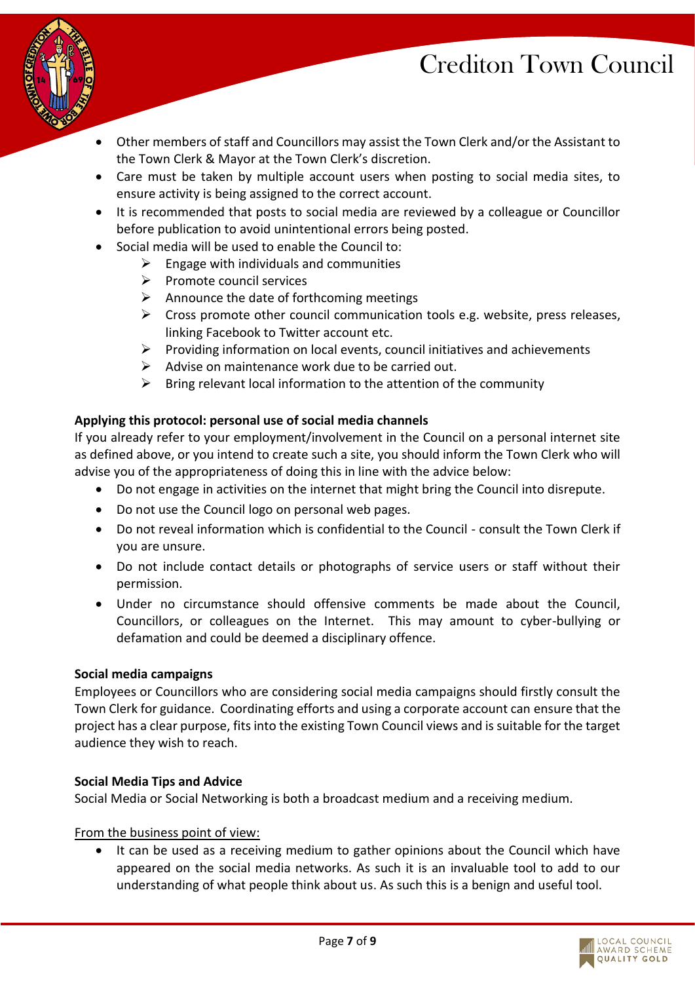

- Other members of staff and Councillors may assist the Town Clerk and/or the Assistant to the Town Clerk & Mayor at the Town Clerk's discretion.
- Care must be taken by multiple account users when posting to social media sites, to ensure activity is being assigned to the correct account.
- It is recommended that posts to social media are reviewed by a colleague or Councillor before publication to avoid unintentional errors being posted.
- Social media will be used to enable the Council to:
	- $\triangleright$  Engage with individuals and communities
	- ➢ Promote council services
	- $\triangleright$  Announce the date of forthcoming meetings
	- $\triangleright$  Cross promote other council communication tools e.g. website, press releases, linking Facebook to Twitter account etc.
	- $\triangleright$  Providing information on local events, council initiatives and achievements
	- $\triangleright$  Advise on maintenance work due to be carried out.
	- $\triangleright$  Bring relevant local information to the attention of the community

# **Applying this protocol: personal use of social media channels**

If you already refer to your employment/involvement in the Council on a personal internet site as defined above, or you intend to create such a site, you should inform the Town Clerk who will advise you of the appropriateness of doing this in line with the advice below:

- Do not engage in activities on the internet that might bring the Council into disrepute.
- Do not use the Council logo on personal web pages.
- Do not reveal information which is confidential to the Council consult the Town Clerk if you are unsure.
- Do not include contact details or photographs of service users or staff without their permission.
- Under no circumstance should offensive comments be made about the Council, Councillors, or colleagues on the Internet. This may amount to cyber-bullying or defamation and could be deemed a disciplinary offence.

# **Social media campaigns**

Employees or Councillors who are considering social media campaigns should firstly consult the Town Clerk for guidance. Coordinating efforts and using a corporate account can ensure that the project has a clear purpose, fits into the existing Town Council views and is suitable for the target audience they wish to reach.

# **Social Media Tips and Advice**

Social Media or Social Networking is both a broadcast medium and a receiving medium.

## From the business point of view:

It can be used as a receiving medium to gather opinions about the Council which have appeared on the social media networks. As such it is an invaluable tool to add to our understanding of what people think about us. As such this is a benign and useful tool.

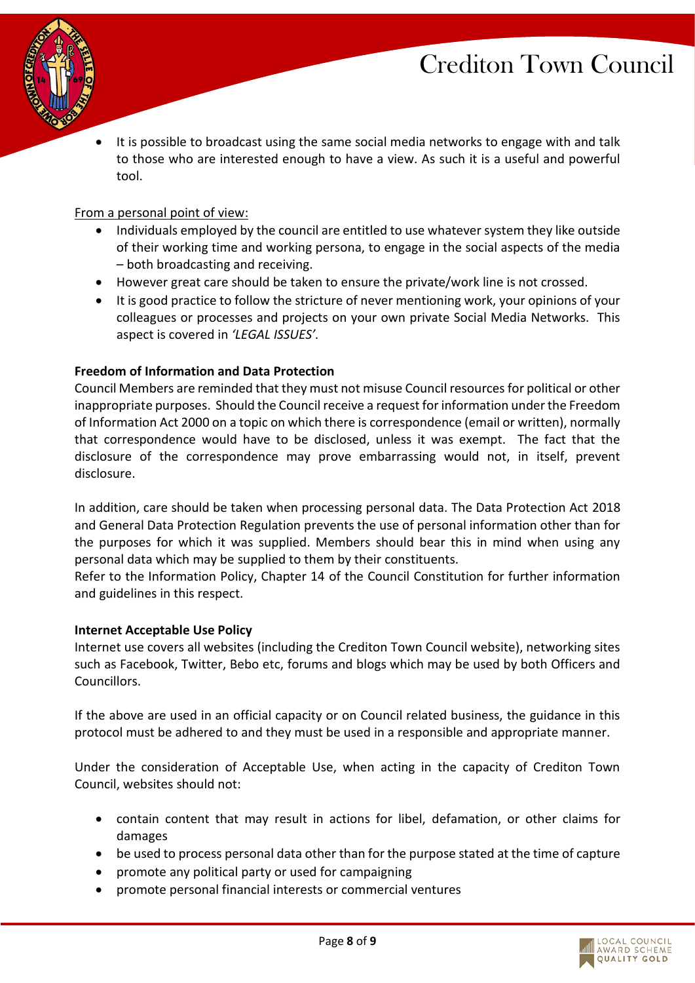

• It is possible to broadcast using the same social media networks to engage with and talk to those who are interested enough to have a view. As such it is a useful and powerful tool.

#### From a personal point of view:

- Individuals employed by the council are entitled to use whatever system they like outside of their working time and working persona, to engage in the social aspects of the media – both broadcasting and receiving.
- However great care should be taken to ensure the private/work line is not crossed.
- It is good practice to follow the stricture of never mentioning work, your opinions of your colleagues or processes and projects on your own private Social Media Networks. This aspect is covered in *'LEGAL ISSUES'.*

#### **Freedom of Information and Data Protection**

Council Members are reminded that they must not misuse Council resources for political or other inappropriate purposes. Should the Council receive a request for information under the Freedom of Information Act 2000 on a topic on which there is correspondence (email or written), normally that correspondence would have to be disclosed, unless it was exempt. The fact that the disclosure of the correspondence may prove embarrassing would not, in itself, prevent disclosure.

In addition, care should be taken when processing personal data. The Data Protection Act 2018 and General Data Protection Regulation prevents the use of personal information other than for the purposes for which it was supplied. Members should bear this in mind when using any personal data which may be supplied to them by their constituents.

Refer to the Information Policy, Chapter 14 of the Council Constitution for further information and guidelines in this respect.

#### **Internet Acceptable Use Policy**

Internet use covers all websites (including the Crediton Town Council website), networking sites such as Facebook, Twitter, Bebo etc, forums and blogs which may be used by both Officers and Councillors.

If the above are used in an official capacity or on Council related business, the guidance in this protocol must be adhered to and they must be used in a responsible and appropriate manner.

Under the consideration of Acceptable Use, when acting in the capacity of Crediton Town Council, websites should not:

- contain content that may result in actions for libel, defamation, or other claims for damages
- be used to process personal data other than for the purpose stated at the time of capture
- promote any political party or used for campaigning
- promote personal financial interests or commercial ventures